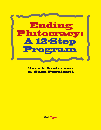

**Sarah Anderson** & Sam Pizzigati

**ColdType**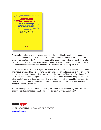

**Sara Anderson** has written numerous studies, articles and books on global corporations and the social and environmental impacts of trade and investment liberalization. She sits on the steering committee of the Alliance for Responsible Trade and served on the staff of the International Financial Institutions Advisory Commission ("Meltzer Commission"), which presented their recommendations for World Bank and IMF reform to the U.S. Congress in 2000.

An IPS associate fellow, **Sam Pizigatti** has edited Too Much, an online newsletter on excess and inequality, since 1995. He has written widely on issues around the concentration of income and wealth, with op-eds and articles appearing in the New York Times, the Washington Post, the Miami Herald, the Los Angeles Times, and a host of other newspapers and periodicals. His latest book, Greed and Good: Understanding and Overcoming the Inequality that Limits Our Lives (Apex Press), won an "outstanding title" of the year rating from the American Library Association (Choice, January 2006).

Reprinted with permission from the June 30, 2008 issue of The Nation magazine. Portions of each week's Nation magazine can be accessed at [http://www.thenation.com."](http://www.thenation.com.%E2%80%9D)

# **ColdType**

WRITING WORTH READING FROM AROUND THE WORLD **[http://coldtype.net](http://www.thenation.com.%E2%80%9D)**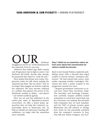Struggled to survive in world dominated by the superrich. Now it's our turn.

America's first Gilded Age didn't merely end. Progressives had to fight to end it. Our forebears did battle, decade after decade, for proposals that dared to "soak the rich."

How quaint that phrase now seems. Progressives today do talk about making the superrich pay their "fair tax share"; but we no longer dare imagine an America without the superrich. We have become addicted to a politics that ignores the power of the fabulously wealthy to define – and distort – our nation's political agenda.

How can we end this addiction? In the twelve-step spirit of dependency-busters everywhere, we offer a dozen policy approaches that can help slice America's superwealthy down to democratic size. To help us rebuild our plutocracy-busting selfconfidence, we begin with the somewhat more winnable.

#### **Step 1: Admit we are powerless unless we learn more about how concentrated our nation's wealth has become.**

Back in 1907 Joseph Pulitzer ended his publishing career with a farewell that urged readers to forever beware "predatory plutocracy." He had started that career, years earlier, exposing wealthy taxdodgers. Disclosure has been a prime weapon in the progressive arsenal ever since.

\* Require government contractors to reveal how much their executives make. The Securities and Exchange Commission currently requires publicly traded companies to reveal how much their top five executives are making. But privately held companies face no such mandate, and the CEO of private security giant Blackwater last fall refused to divulge how much he has personally pocketed from his company's contracts in Iraq. One bill now before Congress, the Gov-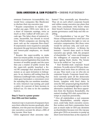ernment Contractor Accountability Act, would force companies like Blackwater to disclose their top executive pay.

\* Require corporations to report CEOworker pay gaps. CEOs now take in, as a share of corporate earnings, twice as much as they walked off with just a decade ago. The labor share of national income, meanwhile, has shrunk to record lows. Which companies are shoving the most cash up the corporate flow-chart? If corporations were required to annually document the gap between their highestand lowest-paid employees, we would know.

\* Require the super-wealthy to make their tax returns public. In 1934 early New Dealers enacted legislation that made the incomes of wealthy people and the taxes they pay a matter of public record. But the super-rich quickly launched a fervid PR campaign that attacked the new statute as an open invitation to kidnappers. In an America still reeling from the infamous Lindbergh baby snatching, that claim gave lawmakers a convenient cover for repealing this tax sunshine mandate. In 2005 America's top-earning 400 paid a paltry 18.2 percent of their incomes in federal tax. It's time to let the sunshine back in.

#### **Step 2: Trust in a power greater than CEOs and their buddies.**

America's top 0.01 percent of taxpayers have seen their collective income quadruple, after inflation, over the past two decades. Corporate executives account for about a fifth of that income. How have

CEOs engineered their awesome take-

homes? They essentially pay themselves. They sit on each other's corporate boards and rubber-stamp executive pay plans that come from consultants who know where their bread's buttered. Democratizing corporate governance could help end this enabling.

\* Give shareholders a "say on pay." The House of Representatives voted last year to give shareholders the right to vote on executive compensation. But these votes would be advisory only, and such nonbinding votes elsewhere - in Britain, for instance - haven't done much to break executive pay spirals. Still, the prospect of shareholder "no" votes could dampen the willingness of corporate boards to keep signing blank checks. The Senate has so far stalled on "say on pay."

 \* End Kremlin-style corporate board elections. To really rein in CEO pay, shareholders need more than an advisory say on pay. They need a say on who sits on corporate boards. Corporate board elections currently sport all the democratic trimmings of Leonid Brezhnev's Supreme Soviet, complete with fixed slates. In 2003 the SEC proposed giving shareholders a halfway meaningful right to vote for alternative candidates. But fierce opposition from the Business Roundtable, the nation's leading CEO club, nyeted this attempt at corporate perestroika.

\* Give all stakeholders a real corporate voice. Shareholders, suitably empowered, could help check executive excess. But workers and their communities have just as much stake in CEO pay decisions as shareholders because over-the-top pay plans give CEOs an incentive to pump up short-term bottom lines at the expense of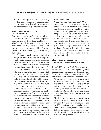long-haul enterprise success. Mandating worker and community representation on corporate boards could institutionalize a voice for all corporate stakeholders.

#### **Step 3: Don't let the tax code enable executive excess.**

Corporate boards don't deserve all the blame for excessive executive compensation. Lawmakers have been enablers, too. They've littered the tax code with provisions that encourage outsized rewards at the top of the corporate ladder. Progressives ought to be launching an anti-littering campaign.

\* Eliminate stock-option accounting sleight-of-hand. Corporations today can legally claim tax deductions for executive stock options that run up to ten times higher than the cost of these options that corporations record in their annual financial statements. In 2005, just-released IRS figures show, the gap between what executive options cost corporations and what corporations deducted off their taxes for these options hit \$61 billion. Senator Carl Levin has introduced legislation that would shut this loophole and raise billions annually in new tax revenue.

\* End bankruptcy bonanzas. In 2005 Congress banned companies in bankruptcy proceedings from giving executives retention and severance bonuses that run over ten times the bonus that workers receive. But the new law doesn't limit "performance-based" bonuses, and corporations are sailing through this loophole. Calpine, a California energy company, exited bankruptcy this past winter with a workforce cut by nearly a third. The company's CEO exited with a \$10.9 million bonus.

\* Cap tax-free "deferred pay." Of Fortune's top 1,000 US companies, 90 percent have set up deferred-pay accounts that let top executives shield unlimited amounts of compensation from taxes. Target CEO Robert Ulrich, for example, held \$133.5 million in his deferred-pay account at the end of 2006. By contrast, the cubicle crowd faces strict limits on how much income can be deferred via  $401(k)$  plans? \$15,500 is the max for most workers. Corporate lobbyists last year squashed a Senate effort that would have placed a modest \$1 million cap on executive pay deferrals.

#### **Step 4: Insist on a searching IRS inventory of super-wealthy wallets.**

Today's IRS agents, OMB Watch reported earlier this year, are actually spending more time auditing poor taxpayers than rich ones. Progressives ought to be demanding an IRS that zeroes in on the awesomely affluent.

\* Shut down offshore income hideaways. A University of Michigan study estimates that the super-rich are dodging as much as \$50 billion per year in federal taxes by stashing income overseas. Arbitrary time limits on IRS investigations help make recovering these lost billions next to impossible.

\* End charitable giveaway scams. Wealthy Americans are routinely overvaluing the artwork they donate to museums - and the IRS remains too understaffed to stop them. America's rich, overall, claim about \$1 billion a year in tax write-offs for donated artwork. Let's stop subsidizing art museum vanity wings.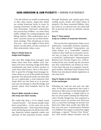\* Put the kibosh on wealth warehousing at elite alma maters. Super-rich alums are saving beaucoup bucks in taxes by pouring enormous wealth into elite private universities. Harvard's endowment last year hit \$34.6 billion - at a time when public colleges are cutting programs and hiking tuitions. Elite endowments pay a mere 2 percent excise tax on their investment earnings. They should pay at twice that rate - and even higher if they don't spend, on education, at least 5 percent of their endowment value a year.

#### **Step 5: Clamp down on hedge-fund kingpins.**

Last year fifty hedge-fund managers took home more than \$210 million each. Perhaps even more amazing: hedge fund office receptionists pay more of their incomes in taxes than their bosses. How is that possible? A good bit of hedge-fund manager income comes as a cut of the profits the funds generate. Our financial royals can claim this cut as a capital gain, a neat maneuver that chops their tax rate from 35 to 15 percent. Last year an attempt to shut this hedge and private equity fund loophole died in the Senate.

#### **Step 6: Make amends to those who truly earn their income.**

We could skip Step 5 if we simply taxed "earned income" - the money people make from actual labor - at the same rate as the "unearned income" - that comes from sitting back and letting money do all the heavy lifting. America's richest regularly realize vast amounts of this unearned income, mostly through dividends and capital gains from trading stocks, bonds and other forms of property. On these unearned billions, they pay taxes at a 15 percent rate, less than half the 35 percent top rate on ordinary earned income.

#### **Step 7: Treat outsize d pay as a defect of corporate character.**

Our tax law lets corporations claim, as tax deductions, reasonable business expenses. But what's reasonable? Corporations can today deduct, as a "reasonable" expense, whatever they shell out in excessive executive pay, so long as they label that excess a reward for "performance." Representative Barbara Lee's Income Equity Act, a bill introduced last year, would cap the executive pay that corporations can deduct at twenty-five times the pay of a company's lowestpaid workers. Maryland State Senator Paul Pinsky has introduced similar legislation at the state level.

#### **Step 8: Awake to the simplicity of tax surcharges.**

Debating tax code ins and outs can take time. In the past, progressives have used a shortcut to hike taxes on the financially fortunate: the surcharge, a simple add-on to the tax owed under existing law. Representative Charlie Rangel last year proposed a 4 percent surtax on income over \$200,000 and a 4.6 percent surcharge on income over \$500,000, hikes that would raise \$832 billion over ten years. Commentator Nicholas von Hoffman has urged a somewhat edgier surcharge, a special "Victory Over Terror" levy that would subject incomes over \$5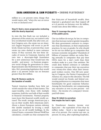million to a 20 percent extra charge that would expire only "when the war on terror is won or declared over."

#### **Step 9: Seek a more progressive reckoning with the dearly departed.**

In 2001 the first Bush tax cut included a phaseout of the estate tax, our nation's only levy on inherited wealth. But after 2010, unless Congress acts, the estate tax on America's largest bequests will revert to pre-W levels. Estate tax foes, to prevent that, want estate tax rates slashed to mere nuisance status. If they succeed, the last three decades of excess in Corporate America will turn into a skyscraper-high foundation for a new aristocracy that would have the wealth - and power - to frustrate progressive social change for generations to come. Representative Jim McDermott has a better idea. He's promoting legislation that would place a 55 percent estate tax on fortunes greater than \$10 million.

#### **Step 10: Restore sanity to the taxation of wealth.**

Typical American families have little net worth outside the value of their homes. The super-wealthy, even those with multiple mansions, hold the vast bulk of their wealth in financial investments. Normal property taxes leave this financial wealth totally untaxed. The result: average Americans pay a tax on their wealth. Rich Americans don't. About a dozen European nations sidestep this double standard by levying a small annual tax on all wealth holdings. In the United States, economist Edward Wolff has calculated, a wealth tax that exempted the

first \$250,000 of household wealth, then imposed a graduated rate that topped off at 0.8 percent on fortunes over \$5 million, would raise about \$60 billion a year.

#### **Step 11: Leverage the power of the public purse.**

Our tax dollars do not go, by law, to companies that increase racial or gender inequality. We deny government contracts to companies that discriminate, in their employment practices, by race or gender. So why should we let our tax dollars go to companies that increase economic inequality? Hundreds of billions of taxpayer dollars are today flowing annually to companies that pay their CEOs more for a day's work than their workers make in a year. One antidote: We could deny federal contracts or subsidies to companies that pay their top executives over twenty-five times what their lowestpaid workers receive. One bill now pending in Congress, the Patriot Corporation of America Act, steps in this direction. The bill would extend tax breaks and federal contracting preferences to companies that meet benchmarks for good corporate behavior. Among the benchmarks: not compensating any executive at over 10,000 percent - 100 times - the income of a company's lowestpaid full-timer.

#### **Step 12: Admit to ourselves that maybe Ike had it right.**

In Eisenhower America income over \$400,000 - the equivalent of less than \$3 million today - faced a top marginal tax rate of 91 percent. Our current top rate: 35 percent. In 2004, after exploiting loopholes,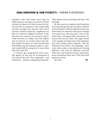taxpayers who took home more than \$5 million paid an average 21.9 percent of their incomes in federal tax. Back in 1954 the federal tax bite on taxpayers with comparable incomes averaged 54.5 percent. How much revenue could be raised by a significant tax hike on America's highest incomes? If the top rate were raised to 50 percent on all income between \$5 million and \$10 million and 70 percent on income above \$10 million, federal revenues in 2008 would jump \$105 billion and the nation's richest 0.1 percent would still be paying less in taxes than they did under Ike.

A century ago, progressives never actually agreed on any one set of proposals to end rule by the rich. They vigorously - and constantly - debated competing proposals.

That debate needs restarting. We hope this list helps.

We also need to recognize that blueprints for social change don't go anywhere without social changers, without organized pressure from below. In America's first great triumph over plutocracy, that pressure came in the main from a resurgent labor movement. To repeat that success, labor once again needs to be surging, one big reason why initiatives that aim to help unions organize - like the Employee Free Choice Act campaign - have a key role to play in any plutocracy-busting offensive. Can such an offensive succeed? Why not? Our forebears faced a plutocracy more entrenched than ours. They beat that plutocracy back.

Our turn. CT